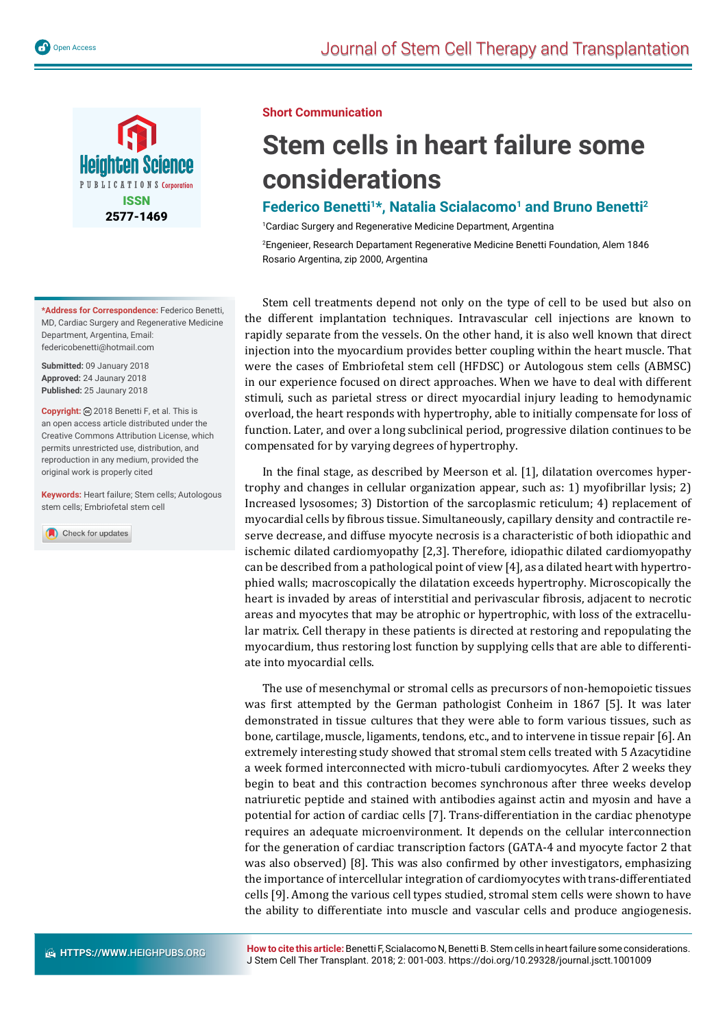

**\*Address for Correspondence:** Federico Benetti, MD, Cardiac Surgery and Regenerative Medicine Department, Argentina, Email: federicobenetti@hotmail.com

**Submitted:** 09 January 2018 **Approved:** 24 Jaunary 2018 **Published:** 25 Jaunary 2018

**Copyright:** 2018 Benetti F, et al. This is an open access article distributed under the Creative Commons Attribution License, which permits unrestricted use, distribution, and reproduction in any medium, provided the original work is properly cited

**Keywords:** Heart failure; Stem cells; Autologous stem cells; Embriofetal stem cell

Check for updates

#### **Short Communication**

# **Stem cells in heart failure some considerations**

## Federico Benetti<sup>1\*</sup>, Natalia Scialacomo<sup>1</sup> and Bruno Benetti<sup>2</sup>

1 Cardiac Surgery and Regenerative Medicine Department, Argentina

2 Engenieer, Research Departament Regenerative Medicine Benetti Foundation, Alem 1846 Rosario Argentina, zip 2000, Argentina

Stem cell treatments depend not only on the type of cell to be used but also on the different implantation techniques. Intravascular cell injections are known to rapidly separate from the vessels. On the other hand, it is also well known that direct injection into the myocardium provides better coupling within the heart muscle. That were the cases of Embriofetal stem cell (HFDSC) or Autologous stem cells (ABMSC) in our experience focused on direct approaches. When we have to deal with different stimuli, such as parietal stress or direct myocardial injury leading to hemodynamic overload, the heart responds with hypertrophy, able to initially compensate for loss of function. Later, and over a long subclinical period, progressive dilation continues to be compensated for by varying degrees of hypertrophy.

In the final stage, as described by Meerson et al. [1], dilatation overcomes hypertrophy and changes in cellular organization appear, such as: 1) myofibrillar lysis; 2) Increased lysosomes; 3) Distortion of the sarcoplasmic reticulum; 4) replacement of myocardial cells by fibrous tissue. Simultaneously, capillary density and contractile reserve decrease, and diffuse myocyte necrosis is a characteristic of both idiopathic and ischemic dilated cardiomyopathy [2,3]. Therefore, idiopathic dilated cardiomyopathy can be described from a pathological point of view [4], as a dilated heart with hypertrophied walls; macroscopically the dilatation exceeds hypertrophy. Microscopically the heart is invaded by areas of interstitial and perivascular fibrosis, adjacent to necrotic areas and myocytes that may be atrophic or hypertrophic, with loss of the extracellular matrix. Cell therapy in these patients is directed at restoring and repopulating the myocardium, thus restoring lost function by supplying cells that are able to differentiate into myocardial cells.

The use of mesenchymal or stromal cells as precursors of non-hemopoietic tissues was first attempted by the German pathologist Conheim in 1867 [5]. It was later demonstrated in tissue cultures that they were able to form various tissues, such as bone, cartilage, muscle, ligaments, tendons, etc., and to intervene in tissue repair [6]. An extremely interesting study showed that stromal stem cells treated with 5 Azacytidine a week formed interconnected with micro-tubuli cardiomyocytes. After 2 weeks they begin to beat and this contraction becomes synchronous after three weeks develop natriuretic peptide and stained with antibodies against actin and myosin and have a potential for action of cardiac cells [7]. Trans-differentiation in the cardiac phenotype requires an adequate microenvironment. It depends on the cellular interconnection for the generation of cardiac transcription factors (GATA-4 and myocyte factor 2 that was also observed) [8]. This was also confirmed by other investigators, emphasizing the importance of intercellular integration of cardiomyocytes with trans-differentiated cells [9]. Among the various cell types studied, stromal stem cells were shown to have the ability to differentiate into muscle and vascular cells and produce angiogenesis.

**How to cite this article:** Benetti F, Scialacomo N, Benetti B. Stem cells in heart failure some considerations. J Stem Cell Ther Transplant. 2018; 2: 001-003. https://doi.org/10.29328/journal.jsctt.1001009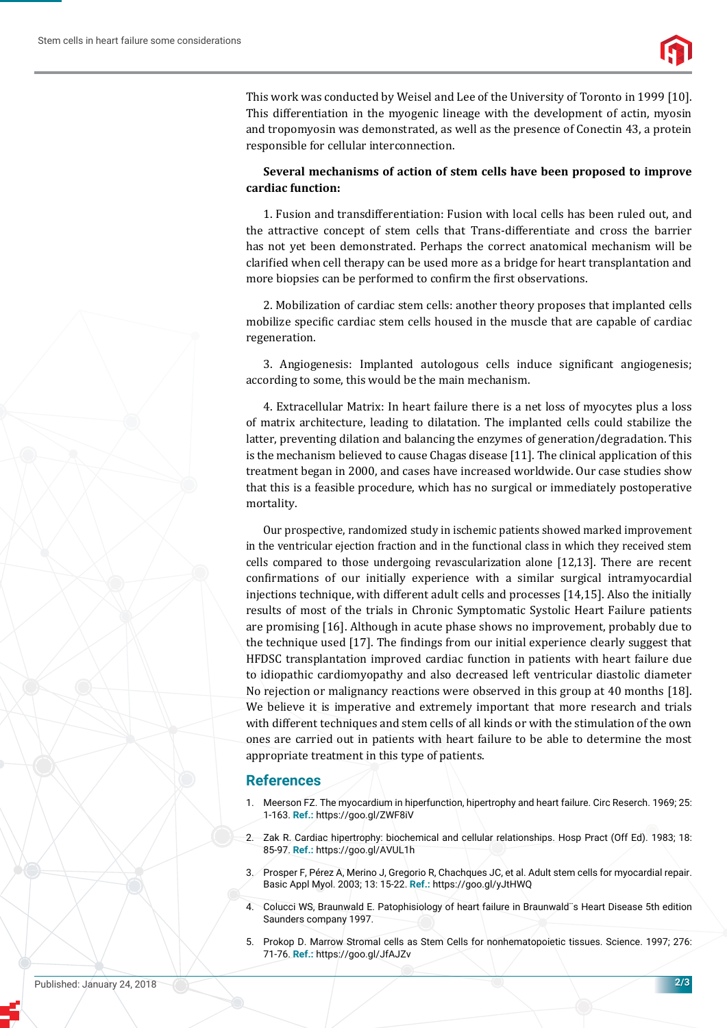

This work was conducted by Weisel and Lee of the University of Toronto in 1999 [10]. This differentiation in the myogenic lineage with the development of actin, myosin and tropomyosin was demonstrated, as well as the presence of Conectin 43, a protein responsible for cellular interconnection.

#### **Several mechanisms of action of stem cells have been proposed to improve cardiac function:**

1. Fusion and transdifferentiation: Fusion with local cells has been ruled out, and the attractive concept of stem cells that Trans-differentiate and cross the barrier has not yet been demonstrated. Perhaps the correct anatomical mechanism will be clarified when cell therapy can be used more as a bridge for heart transplantation and more biopsies can be performed to confirm the first observations.

2. Mobilization of cardiac stem cells: another theory proposes that implanted cells mobilize specific cardiac stem cells housed in the muscle that are capable of cardiac regeneration.

3. Angiogenesis: Implanted autologous cells induce significant angiogenesis; according to some, this would be the main mechanism.

4. Extracellular Matrix: In heart failure there is a net loss of myocytes plus a loss of matrix architecture, leading to dilatation. The implanted cells could stabilize the latter, preventing dilation and balancing the enzymes of generation/degradation. This is the mechanism believed to cause Chagas disease [11]. The clinical application of this treatment began in 2000, and cases have increased worldwide. Our case studies show that this is a feasible procedure, which has no surgical or immediately postoperative mortality.

Our prospective, randomized study in ischemic patients showed marked improvement in the ventricular ejection fraction and in the functional class in which they received stem cells compared to those undergoing revascularization alone [12,13]. There are recent confirmations of our initially experience with a similar surgical intramyocardial injections technique, with different adult cells and processes [14,15]. Also the initially results of most of the trials in Chronic Symptomatic Systolic Heart Failure patients are promising [16]. Although in acute phase shows no improvement, probably due to the technique used [17]. The findings from our initial experience clearly suggest that HFDSC transplantation improved cardiac function in patients with heart failure due to idiopathic cardiomyopathy and also decreased left ventricular diastolic diameter No rejection or malignancy reactions were observed in this group at 40 months [18]. We believe it is imperative and extremely important that more research and trials with different techniques and stem cells of all kinds or with the stimulation of the own ones are carried out in patients with heart failure to be able to determine the most appropriate treatment in this type of patients.

### **References**

- 1. Meerson FZ. The myocardium in hiperfunction, hipertrophy and heart failure. Circ Reserch. 1969; 25: 1-163. **Ref.:** https://goo.gl/ZWF8iV
- 2. Zak R. Cardiac hipertrophy: biochemical and cellular relationships. Hosp Pract (Off Ed). 1983; 18: 85-97. **Ref.:** https://goo.gl/AVUL1h
- 3. Prosper F, Pérez A, Merino J, Gregorio R, Chachques JC, et al. Adult stem cells for myocardial repair. Basic Appl Myol. 2003; 13: 15-22. **Ref.:** https://goo.gl/yJtHWQ
- 4. Colucci WS, Braunwald E. Patophisiology of heart failure in Braunwald¨s Heart Disease 5th edition Saunders company 1997.
- 5. Prokop D. Marrow Stromal cells as Stem Cells for nonhematopoietic tissues. Science. 1997; 276: 71-76. **Ref.:** https://goo.gl/JfAJZv